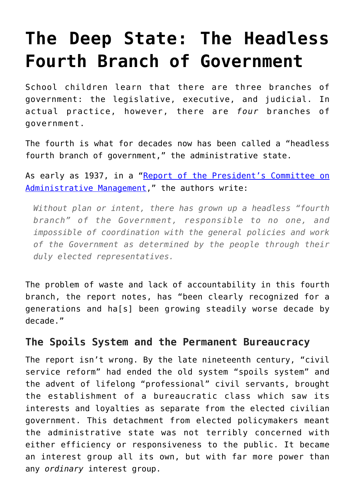# **[The Deep State: The Headless](https://intellectualtakeout.org/2019/11/the-deep-state-the-headless-fourth-branch-of-government/) [Fourth Branch of Government](https://intellectualtakeout.org/2019/11/the-deep-state-the-headless-fourth-branch-of-government/)**

School children learn that there are three branches of government: the legislative, executive, and judicial. In actual practice, however, there are *four* branches of government.

The fourth is what for decades now has been called a "headless fourth branch of government," the administrative state.

As early as 1937, in a ["Report of the President's Committee on](https://books.google.com/books?id=Hmw9AAAAMAAJ&printsec=frontcover&dq=Report+of+the+President%27s+Committee+on+Administrative+Management+(1937&hl=en&newbks=1&newbks_redir=0&sa=X&ved=2ahUKEwinwvqC8fnlAhXKpJ4KHSmgAsoQ6AEwAHoECAYQAg#v=onepage&q=headless%20fourth%20branch&f=false) [Administrative Management,](https://books.google.com/books?id=Hmw9AAAAMAAJ&printsec=frontcover&dq=Report+of+the+President%27s+Committee+on+Administrative+Management+(1937&hl=en&newbks=1&newbks_redir=0&sa=X&ved=2ahUKEwinwvqC8fnlAhXKpJ4KHSmgAsoQ6AEwAHoECAYQAg#v=onepage&q=headless%20fourth%20branch&f=false)" the authors write:

*Without plan or intent, there has grown up a headless "fourth branch" of the Government, responsible to no one, and impossible of coordination with the general policies and work of the Government as determined by the people through their duly elected representatives.*

The problem of waste and lack of accountability in this fourth branch, the report notes, has "been clearly recognized for a generations and ha[s] been growing steadily worse decade by decade."

### **The Spoils System and the Permanent Bureaucracy**

The report isn't wrong. By the late nineteenth century, "civil service reform" had ended the old system "spoils system" and the advent of lifelong "professional" civil servants, brought the establishment of a bureaucratic class which saw its interests and loyalties as separate from the elected civilian government. This detachment from elected policymakers meant the administrative state was not terribly concerned with either efficiency or responsiveness to the public. It became an interest group all its own, but with far more power than any *ordinary* interest group.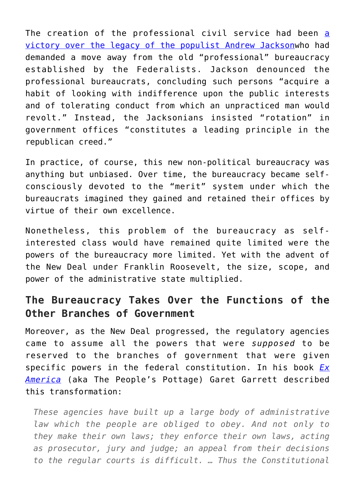The creation of the professional civil service had been [a](https://mises.org/library/bureaucracy-and-civil-service-united-states-2#7) [victory over the legacy of the populist Andrew Jackson](https://mises.org/library/bureaucracy-and-civil-service-united-states-2#7)who had demanded a move away from the old "professional" bureaucracy established by the Federalists. Jackson denounced the professional bureaucrats, concluding such persons "acquire a habit of looking with indifference upon the public interests and of tolerating conduct from which an unpracticed man would revolt." Instead, the Jacksonians insisted "rotation" in government offices "constitutes a leading principle in the republican creed."

In practice, of course, this new non-political bureaucracy was anything but unbiased. Over time, the bureaucracy became selfconsciously devoted to the "merit" system under which the bureaucrats imagined they gained and retained their offices by virtue of their own excellence.

Nonetheless, this problem of the bureaucracy as selfinterested class would have remained quite limited were the powers of the bureaucracy more limited. Yet with the advent of the New Deal under Franklin Roosevelt, the size, scope, and power of the administrative state multiplied.

## **The Bureaucracy Takes Over the Functions of the Other Branches of Government**

Moreover, as the New Deal progressed, the regulatory agencies came to assume all the powers that were *supposed* to be reserved to the branches of government that were given specific powers in the federal constitution. In his book *[Ex](https://mises.org/library/ex-america-50th-anniversary-peoples-pottage) [America](https://mises.org/library/ex-america-50th-anniversary-peoples-pottage)* (aka The People's Pottage) Garet Garrett described this transformation:

*These agencies have built up a large body of administrative law which the people are obliged to obey. And not only to they make their own laws; they enforce their own laws, acting as prosecutor, jury and judge; an appeal from their decisions to the regular courts is difficult. … Thus the Constitutional*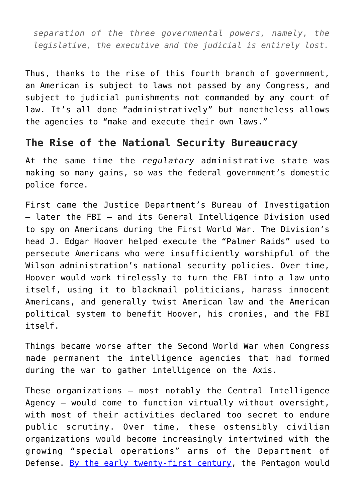*separation of the three governmental powers, namely, the legislative, the executive and the judicial is entirely lost.*

Thus, thanks to the rise of this fourth branch of government, an American is subject to laws not passed by any Congress, and subject to judicial punishments not commanded by any court of law. It's all done "administratively" but nonetheless allows the agencies to "make and execute their own laws."

## **The Rise of the National Security Bureaucracy**

At the same time the *regulatory* administrative state was making so many gains, so was the federal government's domestic police force.

First came the Justice Department's Bureau of Investigation – later the FBI – and its General Intelligence Division used to spy on Americans during the First World War. The Division's head J. Edgar Hoover helped execute the "Palmer Raids" used to persecute Americans who were insufficiently worshipful of the Wilson administration's national security policies. Over time, Hoover would work tirelessly to turn the FBI into a law unto itself, using it to blackmail politicians, harass innocent Americans, and generally twist American law and the American political system to benefit Hoover, his cronies, and the FBI itself.

Things became worse after the Second World War when Congress made permanent the intelligence agencies that had formed during the war to gather intelligence on the Axis.

These organizations – most notably the Central Intelligence Agency – would come to function virtually without oversight, with most of their activities declared too secret to endure public scrutiny. Over time, these ostensibly civilian organizations would become increasingly intertwined with the growing "special operations" arms of the Department of Defense. [By the early twenty-first century](https://www.militarytimes.com/opinion/commentary/2019/09/10/passing-the-paramilitary-torch-from-the-cia-to-special-operations-command/), the Pentagon would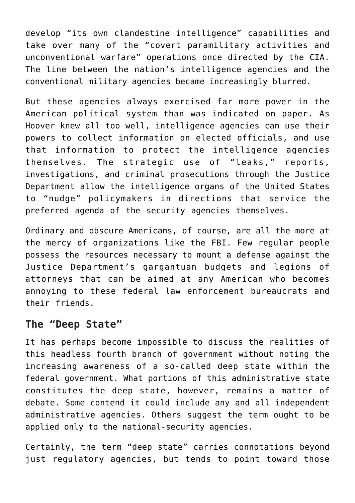develop "its own clandestine intelligence" capabilities and take over many of the "covert paramilitary activities and unconventional warfare" operations once directed by the CIA. The line between the nation's intelligence agencies and the conventional military agencies became increasingly blurred.

But these agencies always exercised far more power in the American political system than was indicated on paper. As Hoover knew all too well, intelligence agencies can use their powers to collect information on elected officials, and use that information to protect the intelligence agencies themselves. The strategic use of "leaks," reports, investigations, and criminal prosecutions through the Justice Department allow the intelligence organs of the United States to "nudge" policymakers in directions that service the preferred agenda of the security agencies themselves.

Ordinary and obscure Americans, of course, are all the more at the mercy of organizations like the FBI. Few regular people possess the resources necessary to mount a defense against the Justice Department's gargantuan budgets and legions of attorneys that can be aimed at any American who becomes annoying to these federal law enforcement bureaucrats and their friends.

### **The "Deep State"**

It has perhaps become impossible to discuss the realities of this headless fourth branch of government without noting the increasing awareness of a so-called deep state within the federal government. What portions of this administrative state constitutes the deep state, however, remains a matter of debate. Some contend it could include any and all independent administrative agencies. Others suggest the term ought to be applied only to the national-security agencies.

Certainly, the term "deep state" carries connotations beyond just regulatory agencies, but tends to point toward those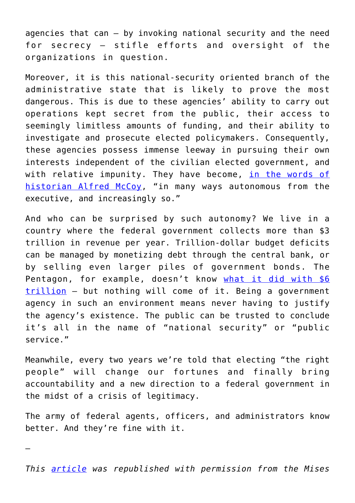agencies that can – by invoking national security and the need for secrecy — stifle efforts and oversight of the organizations in question.

Moreover, it is this national-security oriented branch of the administrative state that is likely to prove the most dangerous. This is due to these agencies' ability to carry out operations kept secret from the public, their access to seemingly limitless amounts of funding, and their ability to investigate and prosecute elected policymakers. Consequently, these agencies possess immense leeway in pursuing their own interests independent of the civilian elected government, and with relative impunity. They have become, [in the words of](https://theintercept.com/2017/07/22/donald-trump-and-the-coming-fall-of-american-empire/) [historian Alfred McCoy,](https://theintercept.com/2017/07/22/donald-trump-and-the-coming-fall-of-american-empire/) "in many ways autonomous from the executive, and increasingly so."

And who can be surprised by such autonomy? We live in a country where the federal government collects more than \$3 trillion in revenue per year. Trillion-dollar budget deficits can be managed by monetizing debt through the central bank, or by selling even larger piles of government bonds. The Pentagon, for example, doesn't know [what it did with \\$6](https://www.thenation.com/article/pentagon-audit-budget-fraud/) [trillion](https://www.thenation.com/article/pentagon-audit-budget-fraud/) – but nothing will come of it. Being a government agency in such an environment means never having to justify the agency's existence. The public can be trusted to conclude it's all in the name of "national security" or "public service."

Meanwhile, every two years we're told that electing "the right people" will change our fortunes and finally bring accountability and a new direction to a federal government in the midst of a crisis of legitimacy.

The army of federal agents, officers, and administrators know better. And they're fine with it.

—

*This [article](https://mises.org/wire/deep-state-headless-fourth-branch-government) was republished with permission from the Mises*